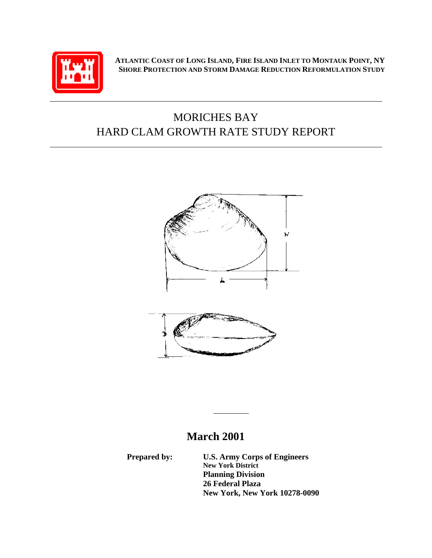

**ATLANTIC COAST OF LONG ISLAND, FIRE ISLAND INLET TO MONTAUK POINT, NY SHORE PROTECTION AND STORM DAMAGE REDUCTION REFORMULATION STUDY**

# MORICHES BAY HARD CLAM GROWTH RATE STUDY REPORT



# **March 2001**

**Prepared by: U.S. Army Corps of Engineers New York District Planning Division 26 Federal Plaza New York, New York 10278-0090**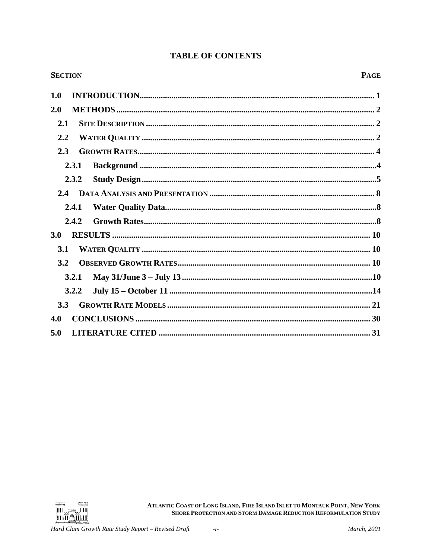| <b>SECTION</b> | <b>PAGE</b> |
|----------------|-------------|
| 1.0            |             |
| 2.0            |             |
| 2.1            |             |
| 2.2            |             |
| 2.3            |             |
| 2.3.1          |             |
| 2.3.2          |             |
| $2.4^{\circ}$  |             |
| 2.4.1          |             |
| 2.4.2          |             |
| <b>3.0</b>     |             |
| 3.1            |             |
| 3.2            |             |
| 3.2.1          |             |
| 3.2.2          |             |
| 3.3            |             |
| 4.0            |             |
| 5.0            |             |

# **TABLE OF CONTENTS**

ATLANTIC COAST OF LONG ISLAND, FIRE ISLAND INLET TO MONTAUK POINT, NEW YORK SHORE PROTECTION AND STORM DAMAGE REDUCTION REFORMULATION STUDY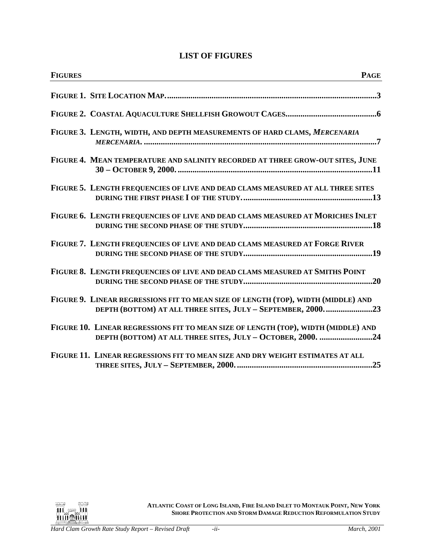# **LIST OF FIGURES**

| <b>FIGURES</b>                                                                     | <b>PAGE</b>                                                 |
|------------------------------------------------------------------------------------|-------------------------------------------------------------|
|                                                                                    |                                                             |
|                                                                                    |                                                             |
| FIGURE 3. LENGTH, WIDTH, AND DEPTH MEASUREMENTS OF HARD CLAMS, MERCENARIA          |                                                             |
| FIGURE 4. MEAN TEMPERATURE AND SALINITY RECORDED AT THREE GROW-OUT SITES, JUNE     |                                                             |
| FIGURE 5. LENGTH FREQUENCIES OF LIVE AND DEAD CLAMS MEASURED AT ALL THREE SITES    |                                                             |
| FIGURE 6. LENGTH FREQUENCIES OF LIVE AND DEAD CLAMS MEASURED AT MORICHES INLET     |                                                             |
| FIGURE 7. LENGTH FREQUENCIES OF LIVE AND DEAD CLAMS MEASURED AT FORGE RIVER        |                                                             |
| FIGURE 8. LENGTH FREQUENCIES OF LIVE AND DEAD CLAMS MEASURED AT SMITHS POINT       |                                                             |
| FIGURE 9. LINEAR REGRESSIONS FIT TO MEAN SIZE OF LENGTH (TOP), WIDTH (MIDDLE) AND  | DEPTH (BOTTOM) AT ALL THREE SITES, JULY - SEPTEMBER, 200023 |
| FIGURE 10. LINEAR REGRESSIONS FIT TO MEAN SIZE OF LENGTH (TOP), WIDTH (MIDDLE) AND | DEPTH (BOTTOM) AT ALL THREE SITES, JULY - OCTOBER, 2000. 24 |
| FIGURE 11. LINEAR REGRESSIONS FIT TO MEAN SIZE AND DRY WEIGHT ESTIMATES AT ALL     |                                                             |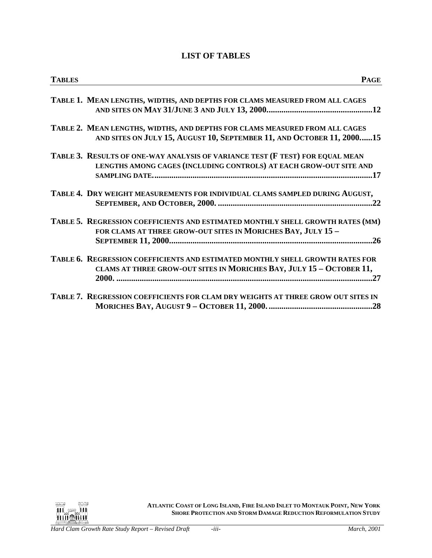# **LIST OF TABLES**

| <b>TABLES</b> | <b>PAGE</b>                                                                                                                                           |
|---------------|-------------------------------------------------------------------------------------------------------------------------------------------------------|
|               | TABLE 1. MEAN LENGTHS, WIDTHS, AND DEPTHS FOR CLAMS MEASURED FROM ALL CAGES                                                                           |
|               | TABLE 2. MEAN LENGTHS, WIDTHS, AND DEPTHS FOR CLAMS MEASURED FROM ALL CAGES<br>AND SITES ON JULY 15, AUGUST 10, SEPTEMBER 11, AND OCTOBER 11, 200015  |
|               | TABLE 3. RESULTS OF ONE-WAY ANALYSIS OF VARIANCE TEST (F TEST) FOR EQUAL MEAN<br>LENGTHS AMONG CAGES (INCLUDING CONTROLS) AT EACH GROW-OUT SITE AND   |
|               | TABLE 4. DRY WEIGHT MEASUREMENTS FOR INDIVIDUAL CLAMS SAMPLED DURING AUGUST,                                                                          |
|               | TABLE 5. REGRESSION COEFFICIENTS AND ESTIMATED MONTHLY SHELL GROWTH RATES (MM)<br>FOR CLAMS AT THREE GROW-OUT SITES IN MORICHES BAY, JULY 15 -        |
|               | TABLE 6. REGRESSION COEFFICIENTS AND ESTIMATED MONTHLY SHELL GROWTH RATES FOR<br>CLAMS AT THREE GROW-OUT SITES IN MORICHES BAY, JULY 15 - OCTOBER 11, |
|               | TABLE 7. REGRESSION COEFFICIENTS FOR CLAM DRY WEIGHTS AT THREE GROW OUT SITES IN                                                                      |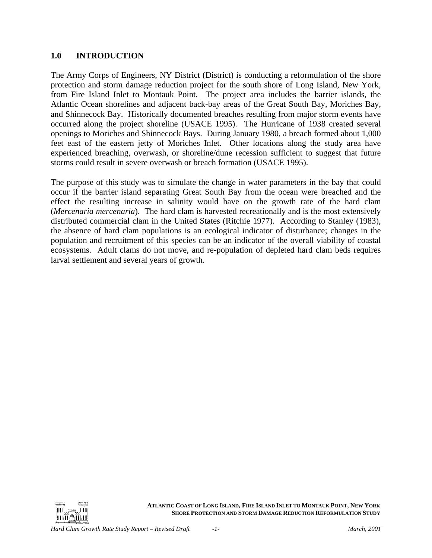## <span id="page-4-0"></span>**1.0 INTRODUCTION**

The Army Corps of Engineers, NY District (District) is conducting a reformulation of the shore protection and storm damage reduction project for the south shore of Long Island, New York, from Fire Island Inlet to Montauk Point. The project area includes the barrier islands, the Atlantic Ocean shorelines and adjacent back-bay areas of the Great South Bay, Moriches Bay, and Shinnecock Bay. Historically documented breaches resulting from major storm events have occurred along the project shoreline (USACE 1995). The Hurricane of 1938 created several openings to Moriches and Shinnecock Bays. During January 1980, a breach formed about 1,000 feet east of the eastern jetty of Moriches Inlet. Other locations along the study area have experienced breaching, overwash, or shoreline/dune recession sufficient to suggest that future storms could result in severe overwash or breach formation (USACE 1995).

The purpose of this study was to simulate the change in water parameters in the bay that could occur if the barrier island separating Great South Bay from the ocean were breached and the effect the resulting increase in salinity would have on the growth rate of the hard clam (*Mercenaria mercenaria*). The hard clam is harvested recreationally and is the most extensively distributed commercial clam in the United States (Ritchie 1977). According to Stanley (1983), the absence of hard clam populations is an ecological indicator of disturbance; changes in the population and recruitment of this species can be an indicator of the overall viability of coastal ecosystems. Adult clams do not move, and re-population of depleted hard clam beds requires larval settlement and several years of growth.

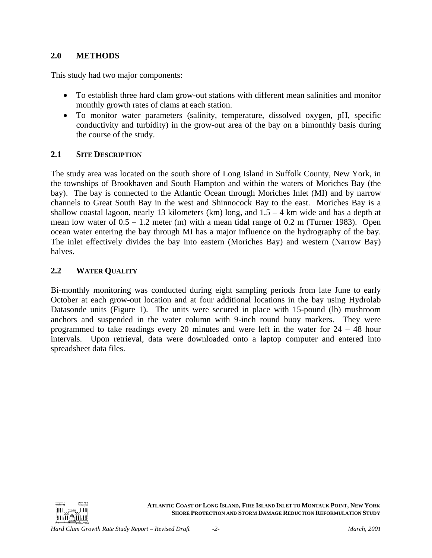## <span id="page-5-0"></span>**2.0 METHODS**

This study had two major components:

- To establish three hard clam grow-out stations with different mean salinities and monitor monthly growth rates of clams at each station.
- To monitor water parameters (salinity, temperature, dissolved oxygen, pH, specific conductivity and turbidity) in the grow-out area of the bay on a bimonthly basis during the course of the study.

#### **2.1 SITE DESCRIPTION**

The study area was located on the south shore of Long Island in Suffolk County, New York, in the townships of Brookhaven and South Hampton and within the waters of Moriches Bay (the bay). The bay is connected to the Atlantic Ocean through Moriches Inlet (MI) and by narrow channels to Great South Bay in the west and Shinnocock Bay to the east. Moriches Bay is a shallow coastal lagoon, nearly 13 kilometers (km) long, and  $1.5 - 4$  km wide and has a depth at mean low water of  $0.5 - 1.2$  meter (m) with a mean tidal range of 0.2 m (Turner 1983). Open ocean water entering the bay through MI has a major influence on the hydrography of the bay. The inlet effectively divides the bay into eastern (Moriches Bay) and western (Narrow Bay) halves.

## **2.2 WATER QUALITY**

Bi-monthly monitoring was conducted during eight sampling periods from late June to early October at each grow-out location and at four additional locations in the bay using Hydrolab Datasonde units (Figure 1). The units were secured in place with 15-pound (lb) mushroom anchors and suspended in the water column with 9-inch round buoy markers. They were programmed to take readings every 20 minutes and were left in the water for 24 – 48 hour intervals. Upon retrieval, data were downloaded onto a laptop computer and entered into spreadsheet data files.

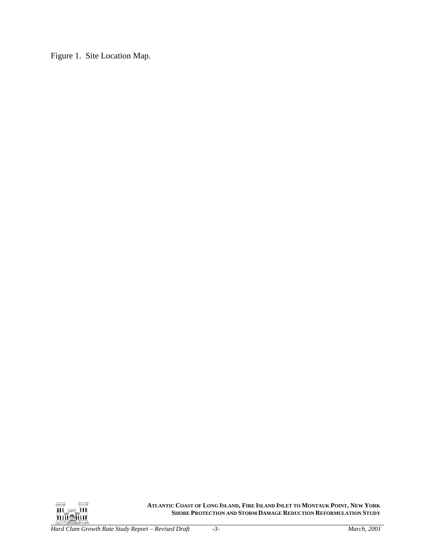<span id="page-6-0"></span>Figure 1. Site Location Map.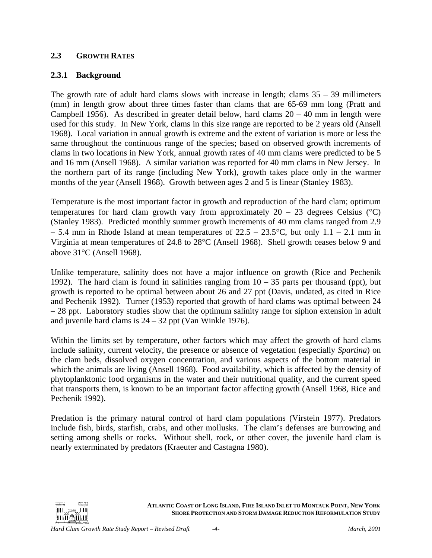## <span id="page-7-0"></span>**2.3 GROWTH RATES**

## **2.3.1 Background**

The growth rate of adult hard clams slows with increase in length; clams  $35 - 39$  millimeters (mm) in length grow about three times faster than clams that are 65-69 mm long (Pratt and Campbell 1956). As described in greater detail below, hard clams  $20 - 40$  mm in length were used for this study. In New York, clams in this size range are reported to be 2 years old (Ansell 1968). Local variation in annual growth is extreme and the extent of variation is more or less the same throughout the continuous range of the species; based on observed growth increments of clams in two locations in New York, annual growth rates of 40 mm clams were predicted to be 5 and 16 mm (Ansell 1968). A similar variation was reported for 40 mm clams in New Jersey. In the northern part of its range (including New York), growth takes place only in the warmer months of the year (Ansell 1968). Growth between ages 2 and 5 is linear (Stanley 1983).

Temperature is the most important factor in growth and reproduction of the hard clam; optimum temperatures for hard clam growth vary from approximately  $20 - 23$  degrees Celsius (°C) (Stanley 1983). Predicted monthly summer growth increments of 40 mm clams ranged from 2.9 – 5.4 mm in Rhode Island at mean temperatures of  $22.5 - 23.5$ °C, but only  $1.1 - 2.1$  mm in Virginia at mean temperatures of 24.8 to 28°C (Ansell 1968). Shell growth ceases below 9 and above 31°C (Ansell 1968).

Unlike temperature, salinity does not have a major influence on growth (Rice and Pechenik 1992). The hard clam is found in salinities ranging from  $10 - 35$  parts per thousand (ppt), but growth is reported to be optimal between about 26 and 27 ppt (Davis, undated, as cited in Rice and Pechenik 1992). Turner (1953) reported that growth of hard clams was optimal between 24 – 28 ppt. Laboratory studies show that the optimum salinity range for siphon extension in adult and juvenile hard clams is 24 – 32 ppt (Van Winkle 1976).

Within the limits set by temperature, other factors which may affect the growth of hard clams include salinity, current velocity, the presence or absence of vegetation (especially *Spartina*) on the clam beds, dissolved oxygen concentration, and various aspects of the bottom material in which the animals are living (Ansell 1968). Food availability, which is affected by the density of phytoplanktonic food organisms in the water and their nutritional quality, and the current speed that transports them, is known to be an important factor affecting growth (Ansell 1968, Rice and Pechenik 1992).

Predation is the primary natural control of hard clam populations (Virstein 1977). Predators include fish, birds, starfish, crabs, and other mollusks. The clam's defenses are burrowing and setting among shells or rocks. Without shell, rock, or other cover, the juvenile hard clam is nearly exterminated by predators (Kraeuter and Castagna 1980).

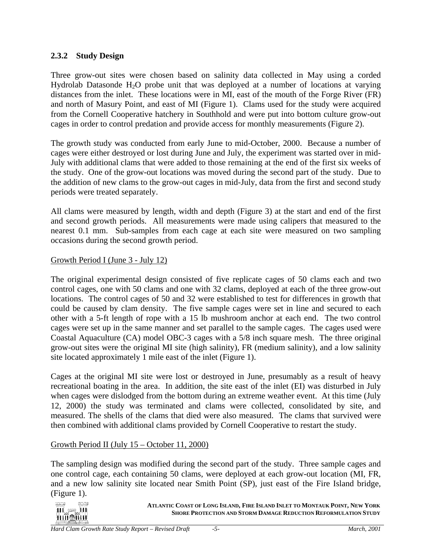## <span id="page-8-0"></span>**2.3.2 Study Design**

Three grow-out sites were chosen based on salinity data collected in May using a corded Hydrolab Datasonde  $H_2O$  probe unit that was deployed at a number of locations at varying distances from the inlet. These locations were in MI, east of the mouth of the Forge River (FR) and north of Masury Point, and east of MI (Figure 1). Clams used for the study were acquired from the Cornell Cooperative hatchery in Southhold and were put into bottom culture grow-out cages in order to control predation and provide access for monthly measurements (Figure 2).

The growth study was conducted from early June to mid-October, 2000. Because a number of cages were either destroyed or lost during June and July, the experiment was started over in mid-July with additional clams that were added to those remaining at the end of the first six weeks of the study. One of the grow-out locations was moved during the second part of the study. Due to the addition of new clams to the grow-out cages in mid-July, data from the first and second study periods were treated separately.

All clams were measured by length, width and depth (Figure 3) at the start and end of the first and second growth periods. All measurements were made using calipers that measured to the nearest 0.1 mm. Sub-samples from each cage at each site were measured on two sampling occasions during the second growth period.

## Growth Period I (June 3 - July 12)

The original experimental design consisted of five replicate cages of 50 clams each and two control cages, one with 50 clams and one with 32 clams, deployed at each of the three grow-out locations. The control cages of 50 and 32 were established to test for differences in growth that could be caused by clam density. The five sample cages were set in line and secured to each other with a 5-ft length of rope with a 15 lb mushroom anchor at each end. The two control cages were set up in the same manner and set parallel to the sample cages. The cages used were Coastal Aquaculture (CA) model OBC-3 cages with a 5/8 inch square mesh. The three original grow-out sites were the original MI site (high salinity), FR (medium salinity), and a low salinity site located approximately 1 mile east of the inlet (Figure 1).

Cages at the original MI site were lost or destroyed in June, presumably as a result of heavy recreational boating in the area. In addition, the site east of the inlet (EI) was disturbed in July when cages were dislodged from the bottom during an extreme weather event. At this time (July 12, 2000) the study was terminated and clams were collected, consolidated by site, and measured. The shells of the clams that died were also measured. The clams that survived were then combined with additional clams provided by Cornell Cooperative to restart the study.

## Growth Period II (July 15 – October 11, 2000)

The sampling design was modified during the second part of the study. Three sample cages and one control cage, each containing 50 clams, were deployed at each grow-out location (MI, FR, and a new low salinity site located near Smith Point (SP), just east of the Fire Island bridge, (Figure 1).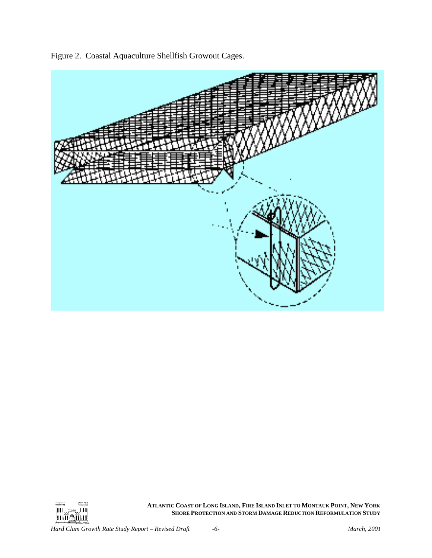

<span id="page-9-0"></span>Figure 2. Coastal Aquaculture Shellfish Growout Cages.

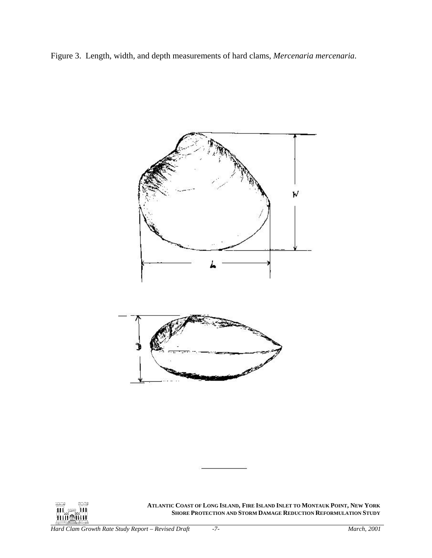<span id="page-10-0"></span>



ШL. -111 **THIMAIN**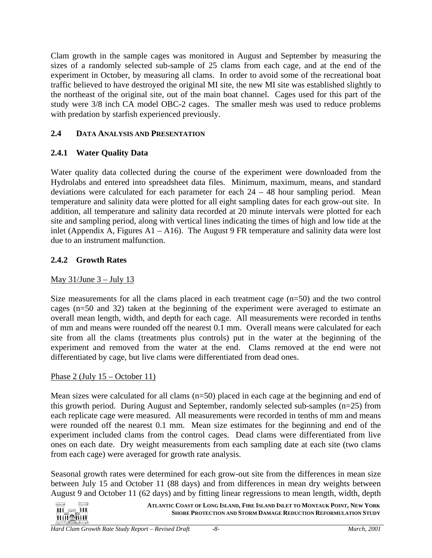<span id="page-11-0"></span>Clam growth in the sample cages was monitored in August and September by measuring the sizes of a randomly selected sub-sample of 25 clams from each cage, and at the end of the experiment in October, by measuring all clams. In order to avoid some of the recreational boat traffic believed to have destroyed the original MI site, the new MI site was established slightly to the northeast of the original site, out of the main boat channel. Cages used for this part of the study were 3/8 inch CA model OBC-2 cages. The smaller mesh was used to reduce problems with predation by starfish experienced previously.

# **2.4 DATA ANALYSIS AND PRESENTATION**

# **2.4.1 Water Quality Data**

Water quality data collected during the course of the experiment were downloaded from the Hydrolabs and entered into spreadsheet data files. Minimum, maximum, means, and standard deviations were calculated for each parameter for each  $24 - 48$  hour sampling period. Mean temperature and salinity data were plotted for all eight sampling dates for each grow-out site. In addition, all temperature and salinity data recorded at 20 minute intervals were plotted for each site and sampling period, along with vertical lines indicating the times of high and low tide at the inlet (Appendix A, Figures A1 – A16). The August 9 FR temperature and salinity data were lost due to an instrument malfunction.

# **2.4.2 Growth Rates**

## May  $31/J$ une  $3 -$ July 13

Size measurements for all the clams placed in each treatment cage (n=50) and the two control cages (n=50 and 32) taken at the beginning of the experiment were averaged to estimate an overall mean length, width, and depth for each cage. All measurements were recorded in tenths of mm and means were rounded off the nearest 0.1 mm. Overall means were calculated for each site from all the clams (treatments plus controls) put in the water at the beginning of the experiment and removed from the water at the end. Clams removed at the end were not differentiated by cage, but live clams were differentiated from dead ones.

## Phase 2 (July 15 – October 11)

يججح

Mean sizes were calculated for all clams (n=50) placed in each cage at the beginning and end of this growth period. During August and September, randomly selected sub-samples (n=25) from each replicate cage were measured. All measurements were recorded in tenths of mm and means were rounded off the nearest 0.1 mm. Mean size estimates for the beginning and end of the experiment included clams from the control cages. Dead clams were differentiated from live ones on each date. Dry weight measurements from each sampling date at each site (two clams from each cage) were averaged for growth rate analysis.

Seasonal growth rates were determined for each grow-out site from the differences in mean size between July 15 and October 11 (88 days) and from differences in mean dry weights between August 9 and October 11 (62 days) and by fitting linear regressions to mean length, width, depth

**ATLANTIC COAST OF LONG ISLAND, FIRE ISLAND INLET TO MONTAUK POINT, NEW YORK** $\mathbf{H}$   $\cong$   $\mathbf{H}$ **SHORE PROTECTION AND STORM DAMAGE REDUCTION REFORMULATION STUDY hiñ@Mul**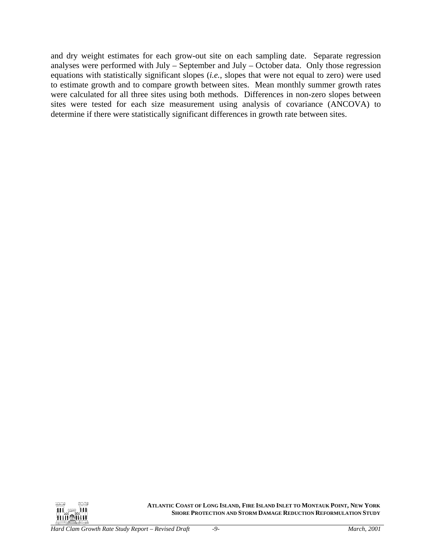and dry weight estimates for each grow-out site on each sampling date. Separate regression analyses were performed with July – September and July – October data. Only those regression equations with statistically significant slopes (*i.e.*, slopes that were not equal to zero) were used to estimate growth and to compare growth between sites. Mean monthly summer growth rates were calculated for all three sites using both methods. Differences in non-zero slopes between sites were tested for each size measurement using analysis of covariance (ANCOVA) to determine if there were statistically significant differences in growth rate between sites.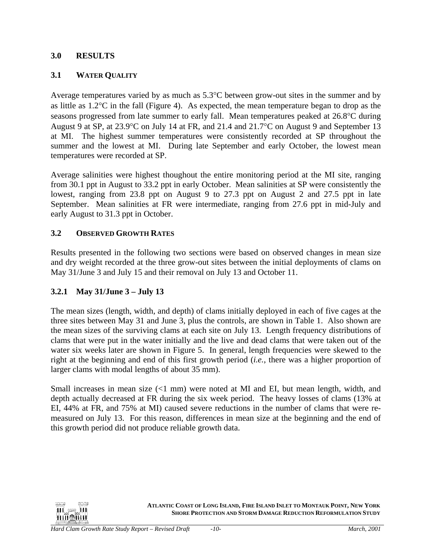## <span id="page-13-0"></span>**3.0 RESULTS**

#### **3.1 WATER QUALITY**

Average temperatures varied by as much as 5.3°C between grow-out sites in the summer and by as little as 1.2°C in the fall (Figure 4). As expected, the mean temperature began to drop as the seasons progressed from late summer to early fall. Mean temperatures peaked at 26.8°C during August 9 at SP, at 23.9°C on July 14 at FR, and 21.4 and 21.7°C on August 9 and September 13 at MI. The highest summer temperatures were consistently recorded at SP throughout the summer and the lowest at MI. During late September and early October, the lowest mean temperatures were recorded at SP.

Average salinities were highest thoughout the entire monitoring period at the MI site, ranging from 30.1 ppt in August to 33.2 ppt in early October. Mean salinities at SP were consistently the lowest, ranging from 23.8 ppt on August 9 to 27.3 ppt on August 2 and 27.5 ppt in late September. Mean salinities at FR were intermediate, ranging from 27.6 ppt in mid-July and early August to 31.3 ppt in October.

## **3.2 OBSERVED GROWTH RATES**

Results presented in the following two sections were based on observed changes in mean size and dry weight recorded at the three grow-out sites between the initial deployments of clams on May 31/June 3 and July 15 and their removal on July 13 and October 11.

## **3.2.1 May 31/June 3 – July 13**

The mean sizes (length, width, and depth) of clams initially deployed in each of five cages at the three sites between May 31 and June 3, plus the controls, are shown in Table 1. Also shown are the mean sizes of the surviving clams at each site on July 13. Length frequency distributions of clams that were put in the water initially and the live and dead clams that were taken out of the water six weeks later are shown in Figure 5. In general, length frequencies were skewed to the right at the beginning and end of this first growth period (*i.e.*, there was a higher proportion of larger clams with modal lengths of about 35 mm).

Small increases in mean size  $\ll 1$  mm) were noted at MI and EI, but mean length, width, and depth actually decreased at FR during the six week period. The heavy losses of clams (13% at EI, 44% at FR, and 75% at MI) caused severe reductions in the number of clams that were remeasured on July 13. For this reason, differences in mean size at the beginning and the end of this growth period did not produce reliable growth data.

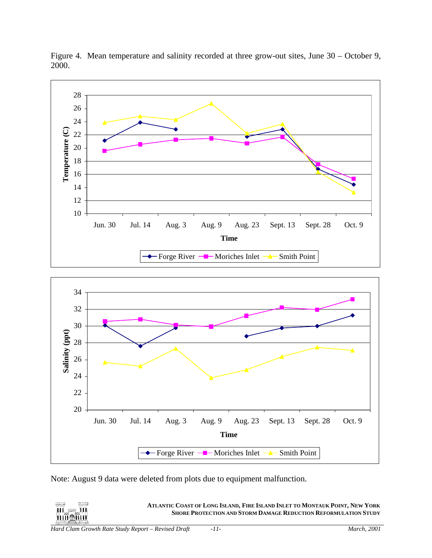

<span id="page-14-0"></span>Figure 4. Mean temperature and salinity recorded at three grow-out sites, June 30 – October 9, 2000.

Note: August 9 data were deleted from plots due to equipment malfunction.

 $\overline{\mathbf{H}}$  ,  $\mathbf{H}$ 山頂命面面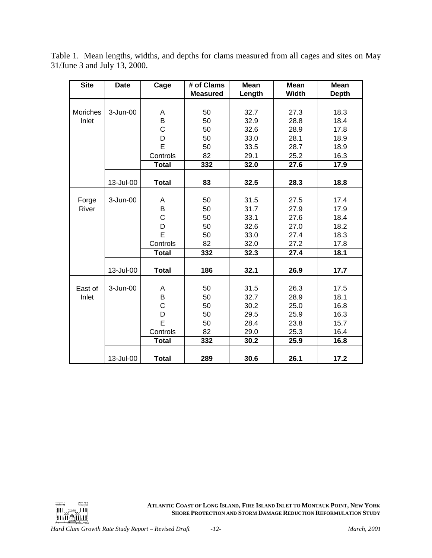| <b>Site</b> | <b>Date</b> | Cage         | # of Clams      | <b>Mean</b> | <b>Mean</b> | <b>Mean</b>  |
|-------------|-------------|--------------|-----------------|-------------|-------------|--------------|
|             |             |              | <b>Measured</b> | Length      | Width       | <b>Depth</b> |
|             |             |              |                 |             |             |              |
| Moriches    | 3-Jun-00    | Α            | 50              | 32.7        | 27.3        | 18.3         |
| Inlet       |             | B            | 50              | 32.9        | 28.8        | 18.4         |
|             |             | $\mathsf C$  | 50              | 32.6        | 28.9        | 17.8         |
|             |             | D            | 50              | 33.0        | 28.1        | 18.9         |
|             |             | E            | 50              | 33.5        | 28.7        | 18.9         |
|             |             | Controls     | 82              | 29.1        | 25.2        | 16.3         |
|             |             | <b>Total</b> | 332             | 32.0        | 27.6        | 17.9         |
|             |             |              |                 |             |             |              |
|             | 13-Jul-00   | <b>Total</b> | 83              | 32.5        | 28.3        | 18.8         |
|             |             |              |                 |             |             |              |
| Forge       | 3-Jun-00    | Α            | 50              | 31.5        | 27.5        | 17.4         |
| River       |             | $\sf B$      | 50              | 31.7        | 27.9        | 17.9         |
|             |             | $\mathsf{C}$ | 50              | 33.1        | 27.6        | 18.4         |
|             |             | D            | 50              | 32.6        | 27.0        | 18.2         |
|             |             | E            | 50              | 33.0        | 27.4        | 18.3         |
|             |             | Controls     | 82              | 32.0        | 27.2        | 17.8         |
|             |             | <b>Total</b> | 332             | 32.3        | 27.4        | 18.1         |
|             |             |              |                 |             |             |              |
|             | 13-Jul-00   | <b>Total</b> | 186             | 32.1        | 26.9        | 17.7         |
| East of     | 3-Jun-00    | Α            | 50              | 31.5        | 26.3        | 17.5         |
| Inlet       |             | B            | 50              | 32.7        | 28.9        | 18.1         |
|             |             | $\mathsf C$  | 50              | 30.2        | 25.0        | 16.8         |
|             |             | D            | 50              | 29.5        | 25.9        | 16.3         |
|             |             | E            | 50              | 28.4        | 23.8        | 15.7         |
|             |             | Controls     | 82              | 29.0        | 25.3        | 16.4         |
|             |             | <b>Total</b> |                 |             |             |              |
|             |             |              | 332             | 30.2        | 25.9        | 16.8         |
|             | 13-Jul-00   | <b>Total</b> | 289             | 30.6        | 26.1        | 17.2         |

<span id="page-15-0"></span>Table 1. Mean lengths, widths, and depths for clams measured from all cages and sites on May 31/June 3 and July 13, 2000.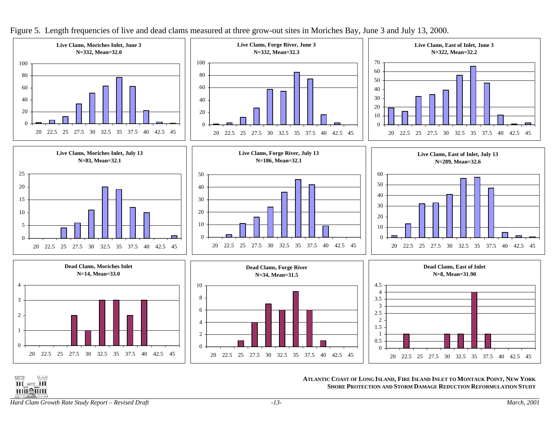

Figure 5. Length frequencies of live and dead clams measured at three grow-out sites in Moriches Bay, June 3 and July 13, 2000.

**III** ere III **THUMAN** 

**ATLANTIC COAST OF LONG ISLAND, FIRE ISLAND INLET TO MONTAUK POINT, NEW YORK SHORE PROTECTION AND STORM DAMAGE REDUCTION REFORMULATION STUDY**

<span id="page-16-0"></span>*Hard Clam Growth Rate Study Report – Revised Draft -13- March, 2001*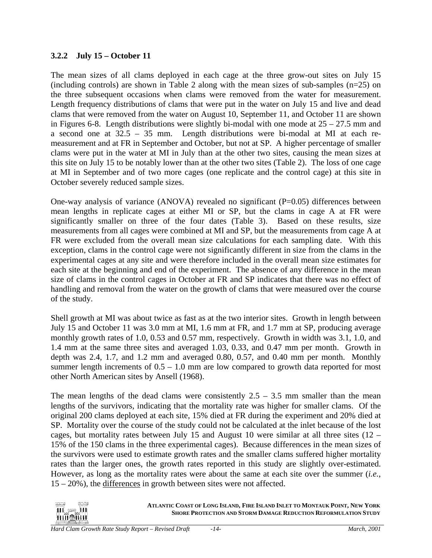## <span id="page-17-0"></span>**3.2.2 July 15 – October 11**

The mean sizes of all clams deployed in each cage at the three grow-out sites on July 15 (including controls) are shown in Table 2 along with the mean sizes of sub-samples  $(n=25)$  on the three subsequent occasions when clams were removed from the water for measurement. Length frequency distributions of clams that were put in the water on July 15 and live and dead clams that were removed from the water on August 10, September 11, and October 11 are shown in Figures 6-8. Length distributions were slightly bi-modal with one mode at  $25 - 27.5$  mm and a second one at 32.5 – 35 mm. Length distributions were bi-modal at MI at each remeasurement and at FR in September and October, but not at SP. A higher percentage of smaller clams were put in the water at MI in July than at the other two sites, causing the mean sizes at this site on July 15 to be notably lower than at the other two sites (Table 2). The loss of one cage at MI in September and of two more cages (one replicate and the control cage) at this site in October severely reduced sample sizes.

One-way analysis of variance (ANOVA) revealed no significant  $(P=0.05)$  differences between mean lengths in replicate cages at either MI or SP, but the clams in cage A at FR were significantly smaller on three of the four dates (Table 3). Based on these results, size measurements from all cages were combined at MI and SP, but the measurements from cage A at FR were excluded from the overall mean size calculations for each sampling date. With this exception, clams in the control cage were not significantly different in size from the clams in the experimental cages at any site and were therefore included in the overall mean size estimates for each site at the beginning and end of the experiment. The absence of any difference in the mean size of clams in the control cages in October at FR and SP indicates that there was no effect of handling and removal from the water on the growth of clams that were measured over the course of the study.

Shell growth at MI was about twice as fast as at the two interior sites. Growth in length between July 15 and October 11 was 3.0 mm at MI, 1.6 mm at FR, and 1.7 mm at SP, producing average monthly growth rates of 1.0, 0.53 and 0.57 mm, respectively. Growth in width was 3.1, 1.0, and 1.4 mm at the same three sites and averaged 1.03, 0.33, and 0.47 mm per month. Growth in depth was 2.4, 1.7, and 1.2 mm and averaged 0.80, 0.57, and 0.40 mm per month. Monthly summer length increments of  $0.5 - 1.0$  mm are low compared to growth data reported for most other North American sites by Ansell (1968).

The mean lengths of the dead clams were consistently  $2.5 - 3.5$  mm smaller than the mean lengths of the survivors, indicating that the mortality rate was higher for smaller clams. Of the original 200 clams deployed at each site, 15% died at FR during the experiment and 20% died at SP. Mortality over the course of the study could not be calculated at the inlet because of the lost cages, but mortality rates between July 15 and August 10 were similar at all three sites  $(12 -$ 15% of the 150 clams in the three experimental cages). Because differences in the mean sizes of the survivors were used to estimate growth rates and the smaller clams suffered higher mortality rates than the larger ones, the growth rates reported in this study are slightly over-estimated. However, as long as the mortality rates were about the same at each site over the summer (*i.e.*, 15 – 20%), the differences in growth between sites were not affected.

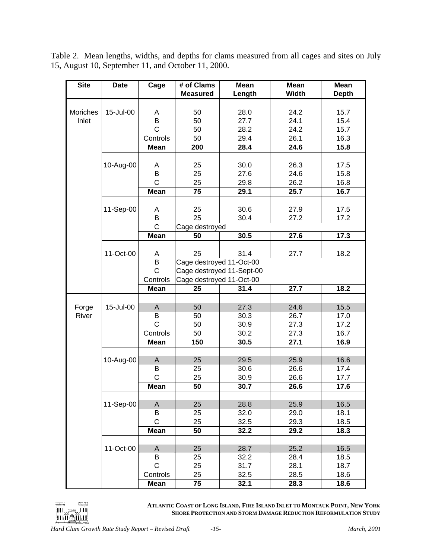<span id="page-18-0"></span>Table 2. Mean lengths, widths, and depths for clams measured from all cages and sites on July 15, August 10, September 11, and October 11, 2000.

| <b>Site</b> | <b>Date</b> | Cage           | # of Clams               | <b>Mean</b>               | <b>Mean</b>  | Mean         |
|-------------|-------------|----------------|--------------------------|---------------------------|--------------|--------------|
|             |             |                | <b>Measured</b>          | Length                    | <b>Width</b> | <b>Depth</b> |
|             |             |                |                          |                           |              |              |
| Moriches    | 15-Jul-00   | A              | 50                       | 28.0                      | 24.2         | 15.7         |
| Inlet       |             | B              | 50                       | 27.7                      | 24.1         | 15.4         |
|             |             | $\mathsf{C}$   | 50                       | 28.2                      | 24.2         | 15.7         |
|             |             | Controls       | 50                       | 29.4                      | 26.1         | 16.3         |
|             |             | <b>Mean</b>    | 200                      | 28.4                      | 24.6         | 15.8         |
|             |             |                |                          |                           |              |              |
|             | 10-Aug-00   | Α              | 25                       | 30.0                      | 26.3         | 17.5         |
|             |             | B              | 25                       | 27.6                      | 24.6         | 15.8         |
|             |             | $\mathsf{C}$   | 25                       | 29.8                      | 26.2         | 16.8         |
|             |             | <b>Mean</b>    | $\overline{75}$          | 29.1                      | 25.7         | 16.7         |
|             |             |                |                          |                           |              |              |
|             | 11-Sep-00   | Α              | 25                       | 30.6                      | 27.9         | 17.5         |
|             |             | B              | 25                       | 30.4                      | 27.2         | 17.2         |
|             |             | $\mathsf C$    | Cage destroyed           |                           |              |              |
|             |             | Mean           | 50                       | 30.5                      | 27.6         | 17.3         |
|             |             |                |                          |                           |              |              |
|             | 11-Oct-00   | A              | 25                       | 31.4                      | 27.7         | 18.2         |
|             |             | $\sf B$        | Cage destroyed 11-Oct-00 |                           |              |              |
|             |             | $\mathsf C$    |                          | Cage destroyed 11-Sept-00 |              |              |
|             |             | Controls       | Cage destroyed 11-Oct-00 |                           |              |              |
|             |             | <b>Mean</b>    | 25                       | 31.4                      | 27.7         | 18.2         |
|             |             |                |                          |                           |              |              |
| Forge       | 15-Jul-00   | A              | 50                       | 27.3                      | 24.6         | 15.5         |
| River       |             | B              | 50                       | 30.3                      | 26.7         | 17.0         |
|             |             | $\overline{C}$ | 50                       | 30.9                      | 27.3         | 17.2         |
|             |             | Controls       | 50                       | 30.2                      | 27.3         | 16.7         |
|             |             | <b>Mean</b>    | 150                      | 30.5                      | 27.1         | 16.9         |
|             |             |                |                          |                           |              |              |
|             | 10-Aug-00   | A              | 25                       | 29.5                      | 25.9         | 16.6         |
|             |             | B              | 25                       | 30.6                      | 26.6         | 17.4         |
|             |             | $\mathsf{C}$   | 25                       | 30.9                      | 26.6         | 17.7         |
|             |             | <b>Mean</b>    | 50                       | 30.7                      | 26.6         | 17.6         |
|             |             |                |                          |                           |              |              |
|             | 11-Sep-00   | $\mathsf A$    | 25                       | 28.8                      | 25.9         | 16.5         |
|             |             | В              | 25                       | 32.0                      | 29.0         | 18.1         |
|             |             | $\mathsf C$    | 25                       | 32.5                      | 29.3         | 18.5         |
|             |             | Mean           | 50                       | 32.2                      | 29.2         | 18.3         |
|             |             |                |                          |                           |              |              |
|             | 11-Oct-00   | A              | 25                       | 28.7                      | 25.2         | 16.5         |
|             |             | B              | 25                       | 32.2                      | 28.4         | 18.5         |
|             |             | $\mathsf C$    | 25                       | 31.7                      | 28.1         | 18.7         |
|             |             | Controls       | 25                       | 32.5                      | 28.5         | 18.6         |
|             |             | <b>Mean</b>    | 75                       | 32.1                      | 28.3         | 18.6         |

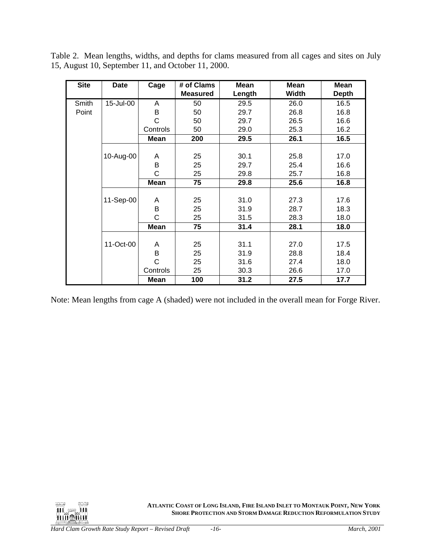| <b>Site</b> | <b>Date</b> | Cage         | # of Clams      | <b>Mean</b> | <b>Mean</b> | <b>Mean</b>  |
|-------------|-------------|--------------|-----------------|-------------|-------------|--------------|
|             |             |              | <b>Measured</b> | Length      | Width       | <b>Depth</b> |
| Smith       | 15-Jul-00   | A            | 50              | 29.5        | 26.0        | 16.5         |
| Point       |             | В            | 50              | 29.7        | 26.8        | 16.8         |
|             |             | $\mathsf{C}$ | 50              | 29.7        | 26.5        | 16.6         |
|             |             | Controls     | 50              | 29.0        | 25.3        | 16.2         |
|             |             | <b>Mean</b>  | 200             | 29.5        | 26.1        | 16.5         |
|             |             |              |                 |             |             |              |
|             | 10-Aug-00   | A            | 25              | 30.1        | 25.8        | 17.0         |
|             |             | B            | 25              | 29.7        | 25.4        | 16.6         |
|             |             | C            | 25              | 29.8        | 25.7        | 16.8         |
|             |             | Mean         | 75              | 29.8        | 25.6        | 16.8         |
|             |             |              |                 |             |             |              |
|             | 11-Sep-00   | A            | 25              | 31.0        | 27.3        | 17.6         |
|             |             | B            | 25              | 31.9        | 28.7        | 18.3         |
|             |             | C            | 25              | 31.5        | 28.3        | 18.0         |
|             |             | <b>Mean</b>  | 75              | 31.4        | 28.1        | 18.0         |
|             |             |              |                 |             |             |              |
|             | 11-Oct-00   | A            | 25              | 31.1        | 27.0        | 17.5         |
|             |             | B            | 25              | 31.9        | 28.8        | 18.4         |
|             |             | C            | 25              | 31.6        | 27.4        | 18.0         |
|             |             | Controls     | 25              | 30.3        | 26.6        | 17.0         |
|             |             | <b>Mean</b>  | 100             | 31.2        | 27.5        | 17.7         |

Table 2. Mean lengths, widths, and depths for clams measured from all cages and sites on July 15, August 10, September 11, and October 11, 2000.

Note: Mean lengths from cage A (shaded) were not included in the overall mean for Forge River.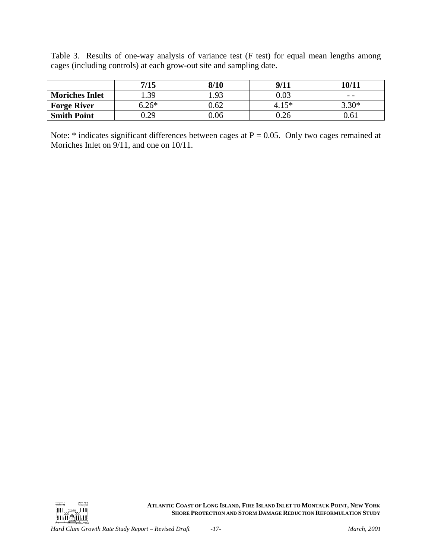<span id="page-20-0"></span>Table 3. Results of one-way analysis of variance test (F test) for equal mean lengths among cages (including controls) at each grow-out site and sampling date.

|                       | 7/15    | 8/10 | 9/11     | 10/11    |
|-----------------------|---------|------|----------|----------|
| <b>Moriches Inlet</b> | .39     | 1.93 | $0.03\,$ | $ -$     |
| <b>Forge River</b>    | $5.26*$ | 0.62 | $4.15*$  | 3.30 $*$ |
| <b>Smith Point</b>    | 0.29    | 0.06 | $0.26\,$ | $0.61\,$ |

Note:  $*$  indicates significant differences between cages at  $P = 0.05$ . Only two cages remained at Moriches Inlet on  $9/11$ , and one on 10/11.

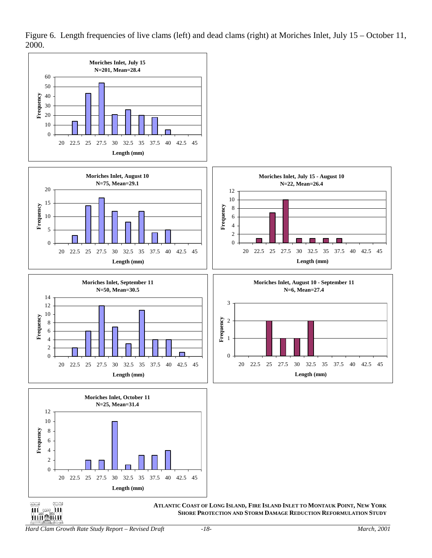

<span id="page-21-0"></span>Figure 6. Length frequencies of live clams (left) and dead clams (right) at Moriches Inlet, July 15 – October 11, 2000.

*Hard Clam Growth Rate Study Report – Revised Draft -18- March, 2001*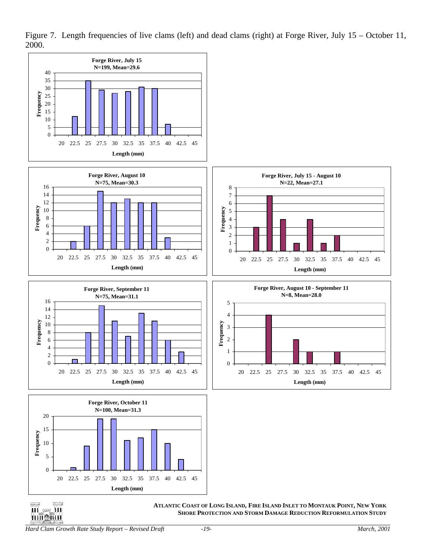

<span id="page-22-0"></span>Figure 7. Length frequencies of live clams (left) and dead clams (right) at Forge River, July 15 – October 11, 2000.

*Hard Clam Growth Rate Study Report – Revised Draft -19- March, 2001*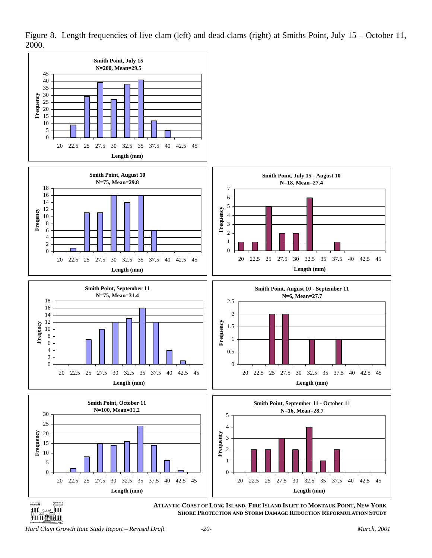

<span id="page-23-0"></span>Figure 8. Length frequencies of live clam (left) and dead clams (right) at Smiths Point, July 15 – October 11, 2000.

*Hard Clam Growth Rate Study Report – Revised Draft -20- March, 2001* 

<u>பர்விய</u>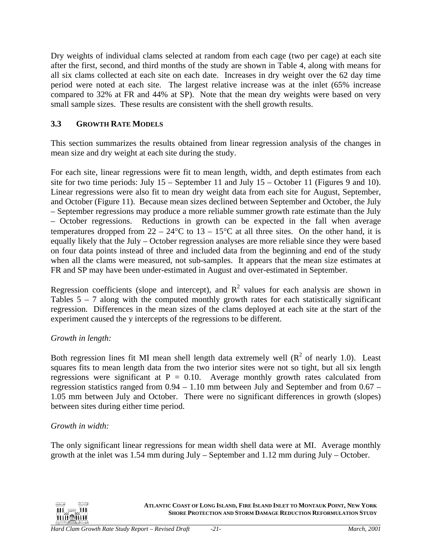<span id="page-24-0"></span>Dry weights of individual clams selected at random from each cage (two per cage) at each site after the first, second, and third months of the study are shown in Table 4, along with means for all six clams collected at each site on each date. Increases in dry weight over the 62 day time period were noted at each site. The largest relative increase was at the inlet (65% increase compared to 32% at FR and 44% at SP). Note that the mean dry weights were based on very small sample sizes. These results are consistent with the shell growth results.

## **3.3 GROWTH RATE MODELS**

This section summarizes the results obtained from linear regression analysis of the changes in mean size and dry weight at each site during the study.

For each site, linear regressions were fit to mean length, width, and depth estimates from each site for two time periods: July 15 – September 11 and July 15 – October 11 (Figures 9 and 10). Linear regressions were also fit to mean dry weight data from each site for August, September, and October (Figure 11). Because mean sizes declined between September and October, the July – September regressions may produce a more reliable summer growth rate estimate than the July – October regressions. Reductions in growth can be expected in the fall when average temperatures dropped from  $22 - 24$ °C to  $13 - 15$ °C at all three sites. On the other hand, it is equally likely that the July – October regression analyses are more reliable since they were based on four data points instead of three and included data from the beginning and end of the study when all the clams were measured, not sub-samples. It appears that the mean size estimates at FR and SP may have been under-estimated in August and over-estimated in September.

Regression coefficients (slope and intercept), and  $R^2$  values for each analysis are shown in Tables  $5 - 7$  along with the computed monthly growth rates for each statistically significant regression. Differences in the mean sizes of the clams deployed at each site at the start of the experiment caused the y intercepts of the regressions to be different.

## *Growth in length:*

Both regression lines fit MI mean shell length data extremely well  $(R^2$  of nearly 1.0). Least squares fits to mean length data from the two interior sites were not so tight, but all six length regressions were significant at  $P = 0.10$ . Average monthly growth rates calculated from regression statistics ranged from 0.94 – 1.10 mm between July and September and from 0.67 – 1.05 mm between July and October. There were no significant differences in growth (slopes) between sites during either time period.

## *Growth in width:*

The only significant linear regressions for mean width shell data were at MI. Average monthly growth at the inlet was 1.54 mm during July – September and 1.12 mm during July – October.

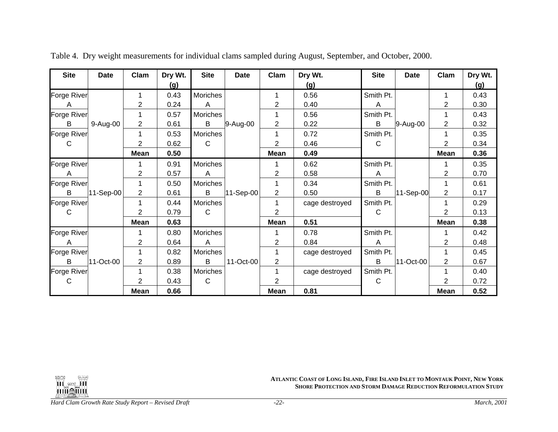| <b>Site</b>        | <b>Date</b> | Clam         | Dry Wt. | <b>Site</b>  | <b>Date</b> | Clam           | Dry Wt.        | <b>Site</b>  | <b>Date</b> | Clam        | Dry Wt. |
|--------------------|-------------|--------------|---------|--------------|-------------|----------------|----------------|--------------|-------------|-------------|---------|
|                    |             |              | (g)     |              |             |                | (g)            |              |             |             | (g)     |
| <b>Forge River</b> |             |              | 0.43    | Moriches     |             |                | 0.56           | Smith Pt.    |             | 1           | 0.43    |
| A                  |             | 2            | 0.24    | A            |             | 2              | 0.40           | A            |             | 2           | 0.30    |
| Forge River        |             |              | 0.57    | Moriches     |             |                | 0.56           | Smith Pt.    |             | 1           | 0.43    |
| B                  | 9-Aug-00    | 2            | 0.61    | B            | 9-Aug-00    | 2              | 0.22           | В            | 9-Aug-00    | 2           | 0.32    |
| Forge River        |             |              | 0.53    | Moriches     |             |                | 0.72           | Smith Pt.    |             | 1           | 0.35    |
| С                  |             | 2            | 0.62    | $\mathsf{C}$ |             | $\overline{2}$ | 0.46           | $\mathsf{C}$ |             | 2           | 0.34    |
|                    |             | <b>Mean</b>  | 0.50    |              |             | <b>Mean</b>    | 0.49           |              |             | <b>Mean</b> | 0.36    |
| Forge River        |             |              | 0.91    | Moriches     |             |                | 0.62           | Smith Pt.    |             |             | 0.35    |
| A                  |             | 2            | 0.57    | A            |             | 2              | 0.58           | A            |             | 2           | 0.70    |
| Forge River        |             |              | 0.50    | Moriches     |             |                | 0.34           | Smith Pt.    |             | 1           | 0.61    |
| B                  | 11-Sep-00   | $\mathbf{2}$ | 0.61    | B            | 11-Sep-00   | $\overline{2}$ | 0.50           | B            | 11-Sep-00   | 2           | 0.17    |
| <b>Forge River</b> |             |              | 0.44    | Moriches     |             |                | cage destroyed | Smith Pt.    |             |             | 0.29    |
| C                  |             | 2            | 0.79    | $\mathsf{C}$ |             | $\overline{2}$ |                | C            |             | 2           | 0.13    |
|                    |             | <b>Mean</b>  | 0.63    |              |             | <b>Mean</b>    | 0.51           |              |             | <b>Mean</b> | 0.38    |
| Forge River        |             |              | 0.80    | Moriches     |             |                | 0.78           | Smith Pt.    |             | 1           | 0.42    |
| A                  |             | 2            | 0.64    | A            |             | 2              | 0.84           | A            |             | 2           | 0.48    |
| Forge River        |             |              | 0.82    | Moriches     |             |                | cage destroyed | Smith Pt.    |             | 1           | 0.45    |
| B                  | 11-Oct-00   | 2            | 0.89    | B            | 11-Oct-00   | $\overline{2}$ |                | B            | 11-Oct-00   | 2           | 0.67    |
| Forge River        |             |              | 0.38    | Moriches     |             |                | cage destroyed | Smith Pt.    |             | 1           | 0.40    |
| C                  |             | 2            | 0.43    | $\mathsf{C}$ |             | 2              |                | $\mathsf{C}$ |             | 2           | 0.72    |
|                    |             | <b>Mean</b>  | 0.66    |              |             | <b>Mean</b>    | 0.81           |              |             | <b>Mean</b> | 0.52    |

Table 4. Dry weight measurements for individual clams sampled during August, September, and October, 2000.

<span id="page-25-0"></span>

**ATLANTIC COAST OF LONG ISLAND, FIRE ISLAND INLET TO MONTAUK POINT, NEW YORK SHORE PROTECTION AND STORM DAMAGE REDUCTION REFORMULATION STUDY**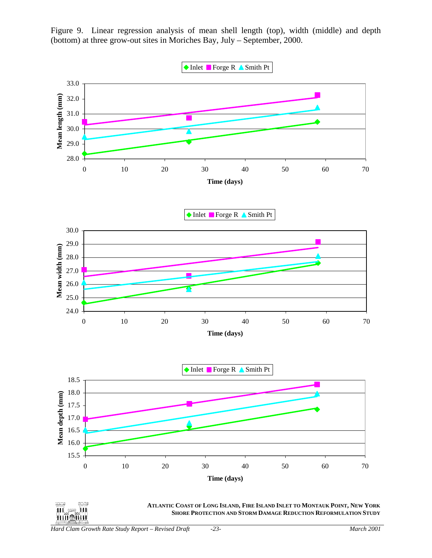

<span id="page-26-0"></span>Figure 9. Linear regression analysis of mean shell length (top), width (middle) and depth (bottom) at three grow-out sites in Moriches Bay, July – September, 2000.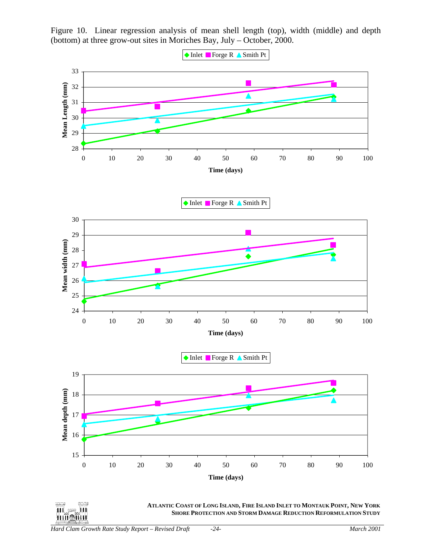

<span id="page-27-0"></span>Figure 10. Linear regression analysis of mean shell length (top), width (middle) and depth (bottom) at three grow-out sites in Moriches Bay, July – October, 2000.

*Hard Clam Growth Rate Study Report – Revised Draft -24- March 2001* 

بحصر  $\approx$  11

ШL. **THIL REAL PROPERTY**  **ATLANTIC COAST OF LONG ISLAND, FIRE ISLAND INLET TO MONTAUK POINT, NEW YORK**

**SHORE PROTECTION AND STORM DAMAGE REDUCTION REFORMULATION STUDY**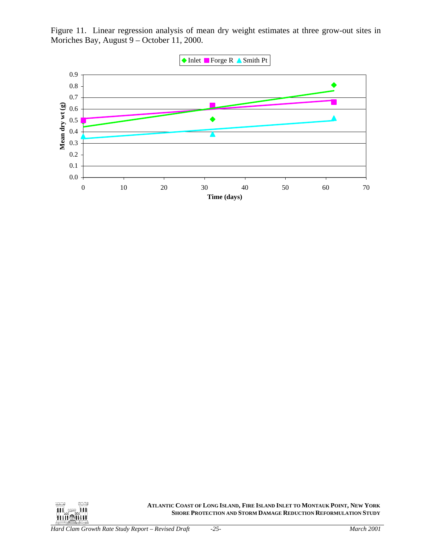<span id="page-28-0"></span>Figure 11. Linear regression analysis of mean dry weight estimates at three grow-out sites in Moriches Bay, August 9 – October 11, 2000.



**ATLANTIC COAST OF LONG ISLAND, FIRE ISLAND INLET TO MONTAUK POINT, NEW YORK SHORE PROTECTION AND STORM DAMAGE REDUCTION REFORMULATION STUDY**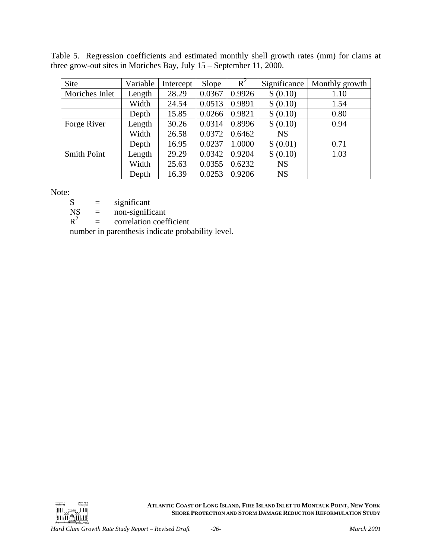<span id="page-29-0"></span>

|  | Table 5. Regression coefficients and estimated monthly shell growth rates (mm) for clams at |  |  |  |  |  |
|--|---------------------------------------------------------------------------------------------|--|--|--|--|--|
|  | three grow-out sites in Moriches Bay, July $15$ – September 11, 2000.                       |  |  |  |  |  |

| Site               | Variable | Intercept | Slope  | $R^2$  | Significance | Monthly growth |
|--------------------|----------|-----------|--------|--------|--------------|----------------|
| Moriches Inlet     | Length   | 28.29     | 0.0367 | 0.9926 | S(0.10)      | 1.10           |
|                    | Width    | 24.54     | 0.0513 | 0.9891 | S(0.10)      | 1.54           |
|                    | Depth    | 15.85     | 0.0266 | 0.9821 | S(0.10)      | 0.80           |
| Forge River        | Length   | 30.26     | 0.0314 | 0.8996 | S(0.10)      | 0.94           |
|                    | Width    | 26.58     | 0.0372 | 0.6462 | <b>NS</b>    |                |
|                    | Depth    | 16.95     | 0.0237 | 1.0000 | S(0.01)      | 0.71           |
| <b>Smith Point</b> | Length   | 29.29     | 0.0342 | 0.9204 | S(0.10)      | 1.03           |
|                    | Width    | 25.63     | 0.0355 | 0.6232 | <b>NS</b>    |                |
|                    | Depth    | 16.39     | 0.0253 | 0.9206 | <b>NS</b>    |                |

Note:

 $S =$  significant

 $NS =$  non-significant

NS = non-significant<br> $R^2$  = correlation coefficient

number in parenthesis indicate probability level.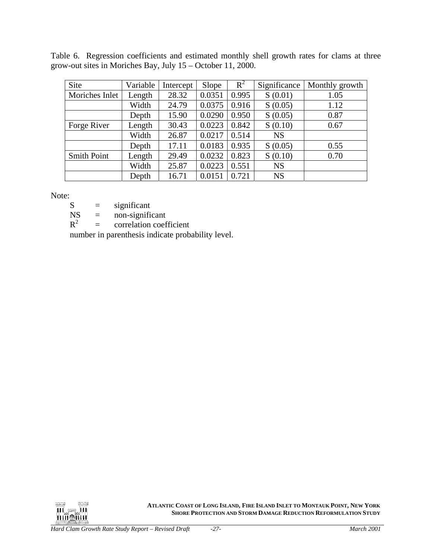<span id="page-30-0"></span>Table 6. Regression coefficients and estimated monthly shell growth rates for clams at three grow-out sites in Moriches Bay, July 15 – October 11, 2000.

| Site               | Variable | Intercept | Slope  | $R^2$ | Significance | Monthly growth |
|--------------------|----------|-----------|--------|-------|--------------|----------------|
| Moriches Inlet     | Length   | 28.32     | 0.0351 | 0.995 | S(0.01)      | 1.05           |
|                    | Width    | 24.79     | 0.0375 | 0.916 | S(0.05)      | 1.12           |
|                    | Depth    | 15.90     | 0.0290 | 0.950 | S(0.05)      | 0.87           |
| Forge River        | Length   | 30.43     | 0.0223 | 0.842 | S(0.10)      | 0.67           |
|                    | Width    | 26.87     | 0.0217 | 0.514 | <b>NS</b>    |                |
|                    | Depth    | 17.11     | 0.0183 | 0.935 | S(0.05)      | 0.55           |
| <b>Smith Point</b> | Length   | 29.49     | 0.0232 | 0.823 | S(0.10)      | 0.70           |
|                    | Width    | 25.87     | 0.0223 | 0.551 | <b>NS</b>    |                |
|                    | Depth    | 16.71     | 0.0151 | 0.721 | <b>NS</b>    |                |

Note:

 $S =$  significant

 $NS = non-significant$ <br> $R^2 = correlation coef$ 

 $=$  correlation coefficient

number in parenthesis indicate probability level.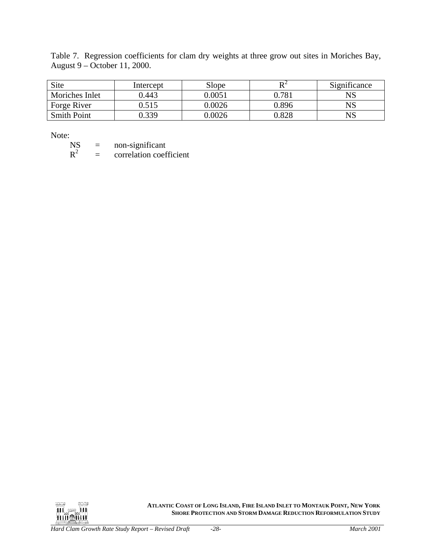<span id="page-31-0"></span>Table 7. Regression coefficients for clam dry weights at three grow out sites in Moriches Bay, August 9 – October 11, 2000.

| Site               | Intercept | Slope  | DΖ    | Significance |
|--------------------|-----------|--------|-------|--------------|
| Moriches Inlet     | 0.443     | 0.0051 | 0.781 | $_{\rm NS}$  |
| Forge River        | ).515     | 0.0026 | 0.896 | $_{\rm NS}$  |
| <b>Smith Point</b> | 1.339     | 0.0026 | 0.828 | $_{\rm NS}$  |

Note:<br>NS

NS = non-significant<br> $R^2$  = correlation coef  $=$  correlation coefficient

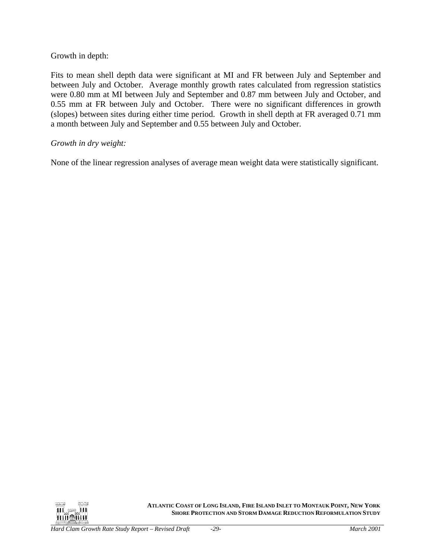### Growth in depth:

Fits to mean shell depth data were significant at MI and FR between July and September and between July and October. Average monthly growth rates calculated from regression statistics were 0.80 mm at MI between July and September and 0.87 mm between July and October, and 0.55 mm at FR between July and October. There were no significant differences in growth (slopes) between sites during either time period. Growth in shell depth at FR averaged 0.71 mm a month between July and September and 0.55 between July and October.

#### *Growth in dry weight:*

None of the linear regression analyses of average mean weight data were statistically significant.

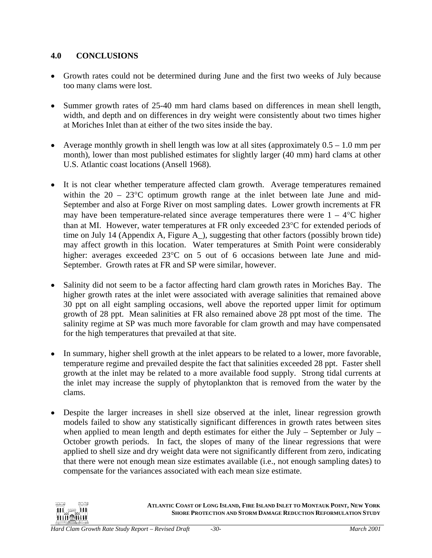## <span id="page-33-0"></span>**4.0 CONCLUSIONS**

- Growth rates could not be determined during June and the first two weeks of July because too many clams were lost.
- Summer growth rates of 25-40 mm hard clams based on differences in mean shell length, width, and depth and on differences in dry weight were consistently about two times higher at Moriches Inlet than at either of the two sites inside the bay.
- Average monthly growth in shell length was low at all sites (approximately  $0.5 1.0$  mm per month), lower than most published estimates for slightly larger (40 mm) hard clams at other U.S. Atlantic coast locations (Ansell 1968).
- It is not clear whether temperature affected clam growth. Average temperatures remained within the  $20 - 23^{\circ}$ C optimum growth range at the inlet between late June and mid-September and also at Forge River on most sampling dates. Lower growth increments at FR may have been temperature-related since average temperatures there were  $1 - 4^{\circ}C$  higher than at MI. However, water temperatures at FR only exceeded 23°C for extended periods of time on July 14 (Appendix A, Figure A\_), suggesting that other factors (possibly brown tide) may affect growth in this location. Water temperatures at Smith Point were considerably higher: averages exceeded 23°C on 5 out of 6 occasions between late June and mid-September. Growth rates at FR and SP were similar, however.
- Salinity did not seem to be a factor affecting hard clam growth rates in Moriches Bay. The higher growth rates at the inlet were associated with average salinities that remained above 30 ppt on all eight sampling occasions, well above the reported upper limit for optimum growth of 28 ppt. Mean salinities at FR also remained above 28 ppt most of the time. The salinity regime at SP was much more favorable for clam growth and may have compensated for the high temperatures that prevailed at that site.
- In summary, higher shell growth at the inlet appears to be related to a lower, more favorable, temperature regime and prevailed despite the fact that salinities exceeded 28 ppt. Faster shell growth at the inlet may be related to a more available food supply. Strong tidal currents at the inlet may increase the supply of phytoplankton that is removed from the water by the clams.
- Despite the larger increases in shell size observed at the inlet, linear regression growth models failed to show any statistically significant differences in growth rates between sites when applied to mean length and depth estimates for either the July – September or July – October growth periods. In fact, the slopes of many of the linear regressions that were applied to shell size and dry weight data were not significantly different from zero, indicating that there were not enough mean size estimates available (i.e., not enough sampling dates) to compensate for the variances associated with each mean size estimate.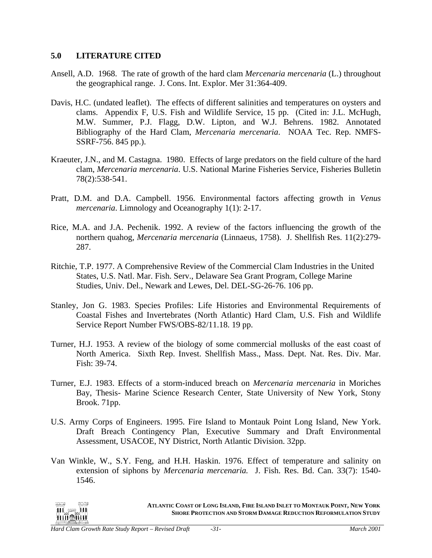#### <span id="page-34-0"></span>**5.0 LITERATURE CITED**

- Ansell, A.D. 1968. The rate of growth of the hard clam *Mercenaria mercenaria* (L.) throughout the geographical range. J. Cons. Int. Explor. Mer 31:364-409.
- Davis, H.C. (undated leaflet). The effects of different salinities and temperatures on oysters and clams. Appendix F, U.S. Fish and Wildlife Service, 15 pp. (Cited in: J.L. McHugh, M.W. Summer, P.J. Flagg, D.W. Lipton, and W.J. Behrens. 1982. Annotated Bibliography of the Hard Clam, *Mercenaria mercenaria*. NOAA Tec. Rep. NMFS-SSRF-756. 845 pp.).
- Kraeuter, J.N., and M. Castagna. 1980. Effects of large predators on the field culture of the hard clam, *Mercenaria mercenaria*. U.S. National Marine Fisheries Service, Fisheries Bulletin 78(2):538-541.
- Pratt, D.M. and D.A. Campbell. 1956. Environmental factors affecting growth in *Venus mercenaria*. Limnology and Oceanography 1(1): 2-17.
- Rice, M.A. and J.A. Pechenik. 1992. A review of the factors influencing the growth of the northern quahog, *Mercenaria mercenaria* (Linnaeus, 1758). J. Shellfish Res. 11(2):279- 287.
- Ritchie, T.P. 1977. A Comprehensive Review of the Commercial Clam Industries in the United States, U.S. Natl. Mar. Fish. Serv., Delaware Sea Grant Program, College Marine Studies, Univ. Del., Newark and Lewes, Del. DEL-SG-26-76. 106 pp.
- Stanley, Jon G. 1983. Species Profiles: Life Histories and Environmental Requirements of Coastal Fishes and Invertebrates (North Atlantic) Hard Clam, U.S. Fish and Wildlife Service Report Number FWS/OBS-82/11.18. 19 pp.
- Turner, H.J. 1953. A review of the biology of some commercial mollusks of the east coast of North America. Sixth Rep. Invest. Shellfish Mass., Mass. Dept. Nat. Res. Div. Mar. Fish: 39-74.
- Turner, E.J. 1983. Effects of a storm-induced breach on *Mercenaria mercenaria* in Moriches Bay, Thesis- Marine Science Research Center, State University of New York, Stony Brook. 71pp.
- U.S. Army Corps of Engineers. 1995. Fire Island to Montauk Point Long Island, New York. Draft Breach Contingency Plan, Executive Summary and Draft Environmental Assessment, USACOE, NY District, North Atlantic Division. 32pp.
- Van Winkle, W., S.Y. Feng, and H.H. Haskin. 1976. Effect of temperature and salinity on extension of siphons by *Mercenaria mercenaria.* J. Fish. Res. Bd. Can. 33(7): 1540- 1546.

**ATLANTIC COAST OF LONG ISLAND, FIRE ISLAND INLET TO MONTAUK POINT, NEW YORK**ul ee lu **SHORE PROTECTION AND STORM DAMAGE REDUCTION REFORMULATION STUDY Trimetical**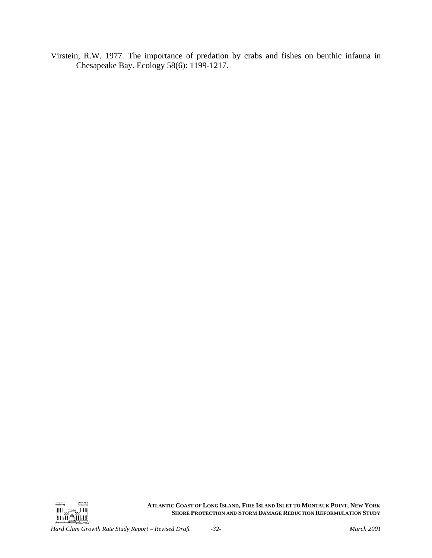Virstein, R.W. 1977. The importance of predation by crabs and fishes on benthic infauna in Chesapeake Bay. Ecology 58(6): 1199-1217.